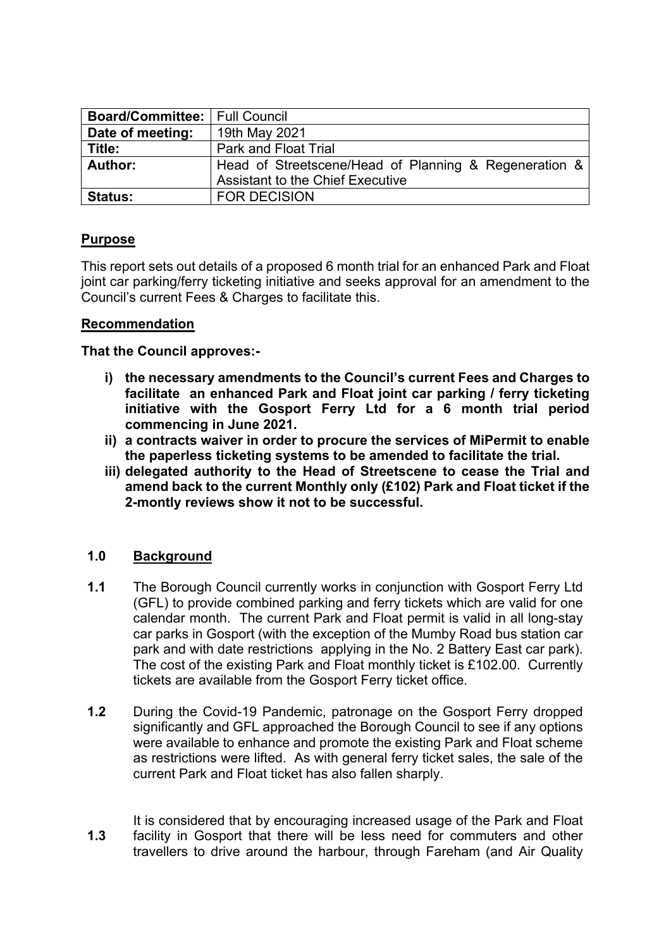| <b>Board/Committee: Full Council</b> |                                                       |  |
|--------------------------------------|-------------------------------------------------------|--|
| Date of meeting:                     | 19th May 2021                                         |  |
| Title:                               | Park and Float Trial                                  |  |
| Author:                              | Head of Streetscene/Head of Planning & Regeneration & |  |
|                                      | <b>Assistant to the Chief Executive</b>               |  |
| <b>Status:</b>                       | <b>FOR DECISION</b>                                   |  |

# **Purpose**

This report sets out details of a proposed 6 month trial for an enhanced Park and Float joint car parking/ferry ticketing initiative and seeks approval for an amendment to the Council's current Fees & Charges to facilitate this.

#### **Recommendation**

#### **That the Council approves:-**

- **i) the necessary amendments to the Council's current Fees and Charges to facilitate an enhanced Park and Float joint car parking / ferry ticketing initiative with the Gosport Ferry Ltd for a 6 month trial period commencing in June 2021.**
- **ii) a contracts waiver in order to procure the services of MiPermit to enable the paperless ticketing systems to be amended to facilitate the trial.**
- **iii) delegated authority to the Head of Streetscene to cease the Trial and amend back to the current Monthly only (£102) Park and Float ticket if the 2-montly reviews show it not to be successful.**

### **1.0 Background**

- **1.1** The Borough Council currently works in conjunction with Gosport Ferry Ltd (GFL) to provide combined parking and ferry tickets which are valid for one calendar month. The current Park and Float permit is valid in all long-stay car parks in Gosport (with the exception of the Mumby Road bus station car park and with date restrictions applying in the No. 2 Battery East car park). The cost of the existing Park and Float monthly ticket is £102.00. Currently tickets are available from the Gosport Ferry ticket office.
- **1.2** During the Covid-19 Pandemic, patronage on the Gosport Ferry dropped significantly and GFL approached the Borough Council to see if any options were available to enhance and promote the existing Park and Float scheme as restrictions were lifted. As with general ferry ticket sales, the sale of the current Park and Float ticket has also fallen sharply.

**1.3** It is considered that by encouraging increased usage of the Park and Float facility in Gosport that there will be less need for commuters and other travellers to drive around the harbour, through Fareham (and Air Quality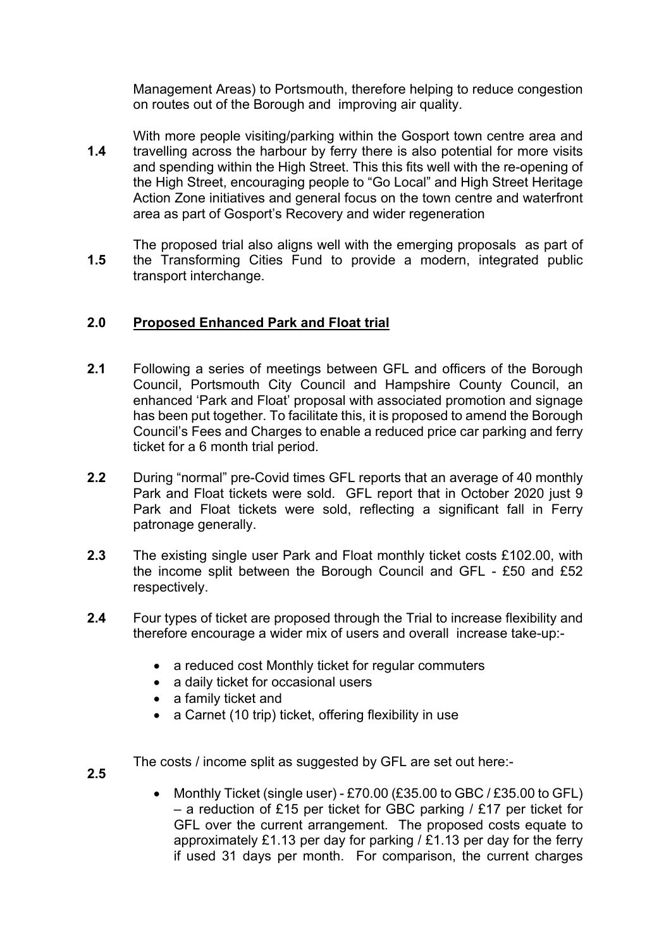Management Areas) to Portsmouth, therefore helping to reduce congestion on routes out of the Borough and improving air quality.

- **1.4** With more people visiting/parking within the Gosport town centre area and travelling across the harbour by ferry there is also potential for more visits and spending within the High Street. This this fits well with the re-opening of the High Street, encouraging people to "Go Local" and High Street Heritage Action Zone initiatives and general focus on the town centre and waterfront area as part of Gosport's Recovery and wider regeneration
- **1.5** The proposed trial also aligns well with the emerging proposals as part of the Transforming Cities Fund to provide a modern, integrated public transport interchange.

# **2.0 Proposed Enhanced Park and Float trial**

- **2.1** Following a series of meetings between GFL and officers of the Borough Council, Portsmouth City Council and Hampshire County Council, an enhanced 'Park and Float' proposal with associated promotion and signage has been put together. To facilitate this, it is proposed to amend the Borough Council's Fees and Charges to enable a reduced price car parking and ferry ticket for a 6 month trial period.
- **2.2** During "normal" pre-Covid times GFL reports that an average of 40 monthly Park and Float tickets were sold. GFL report that in October 2020 just 9 Park and Float tickets were sold, reflecting a significant fall in Ferry patronage generally.
- **2.3** The existing single user Park and Float monthly ticket costs £102.00, with the income split between the Borough Council and GFL - £50 and £52 respectively.
- **2.4** Four types of ticket are proposed through the Trial to increase flexibility and therefore encourage a wider mix of users and overall increase take-up:-
	- a reduced cost Monthly ticket for regular commuters
	- a daily ticket for occasional users
	- a family ticket and
	- a Carnet (10 trip) ticket, offering flexibility in use

The costs / income split as suggested by GFL are set out here:-

- **2.5**
- Monthly Ticket (single user) £70.00 (£35.00 to GBC / £35.00 to GFL) – a reduction of £15 per ticket for GBC parking / £17 per ticket for GFL over the current arrangement. The proposed costs equate to approximately £1.13 per day for parking  $/$  £1.13 per day for the ferry if used 31 days per month. For comparison, the current charges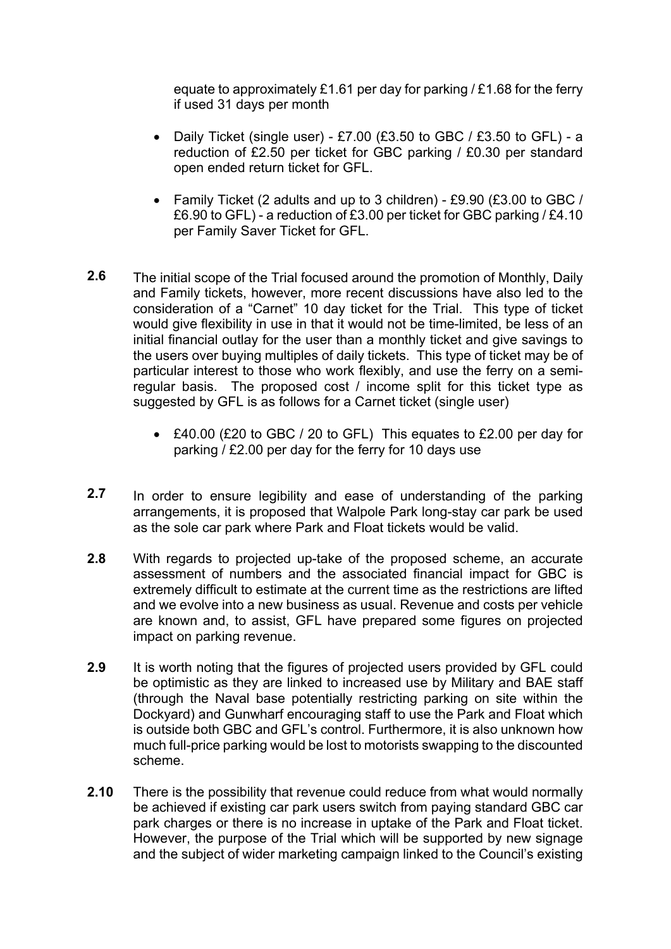equate to approximately £1.61 per day for parking  $/$  £1.68 for the ferry if used 31 days per month

- Daily Ticket (single user) £7.00 (£3.50 to GBC / £3.50 to GFL) a reduction of £2.50 per ticket for GBC parking / £0.30 per standard open ended return ticket for GFL.
- Family Ticket (2 adults and up to 3 children) £9.90 (£3.00 to GBC / £6.90 to GFL) - a reduction of £3.00 per ticket for GBC parking / £4.10 per Family Saver Ticket for GFL.
- **2.6** The initial scope of the Trial focused around the promotion of Monthly, Daily and Family tickets, however, more recent discussions have also led to the consideration of a "Carnet" 10 day ticket for the Trial. This type of ticket would give flexibility in use in that it would not be time-limited, be less of an initial financial outlay for the user than a monthly ticket and give savings to the users over buying multiples of daily tickets. This type of ticket may be of particular interest to those who work flexibly, and use the ferry on a semiregular basis. The proposed cost / income split for this ticket type as suggested by GFL is as follows for a Carnet ticket (single user)
	- £40.00 (£20 to GBC / 20 to GFL) This equates to £2.00 per day for parking / £2.00 per day for the ferry for 10 days use
- **2.7** In order to ensure legibility and ease of understanding of the parking arrangements, it is proposed that Walpole Park long-stay car park be used as the sole car park where Park and Float tickets would be valid.
- **2.8** With regards to projected up-take of the proposed scheme, an accurate assessment of numbers and the associated financial impact for GBC is extremely difficult to estimate at the current time as the restrictions are lifted and we evolve into a new business as usual. Revenue and costs per vehicle are known and, to assist, GFL have prepared some figures on projected impact on parking revenue.
- **2.9** It is worth noting that the figures of projected users provided by GFL could be optimistic as they are linked to increased use by Military and BAE staff (through the Naval base potentially restricting parking on site within the Dockyard) and Gunwharf encouraging staff to use the Park and Float which is outside both GBC and GFL's control. Furthermore, it is also unknown how much full-price parking would be lost to motorists swapping to the discounted scheme.
- **2.10** There is the possibility that revenue could reduce from what would normally be achieved if existing car park users switch from paying standard GBC car park charges or there is no increase in uptake of the Park and Float ticket. However, the purpose of the Trial which will be supported by new signage and the subject of wider marketing campaign linked to the Council's existing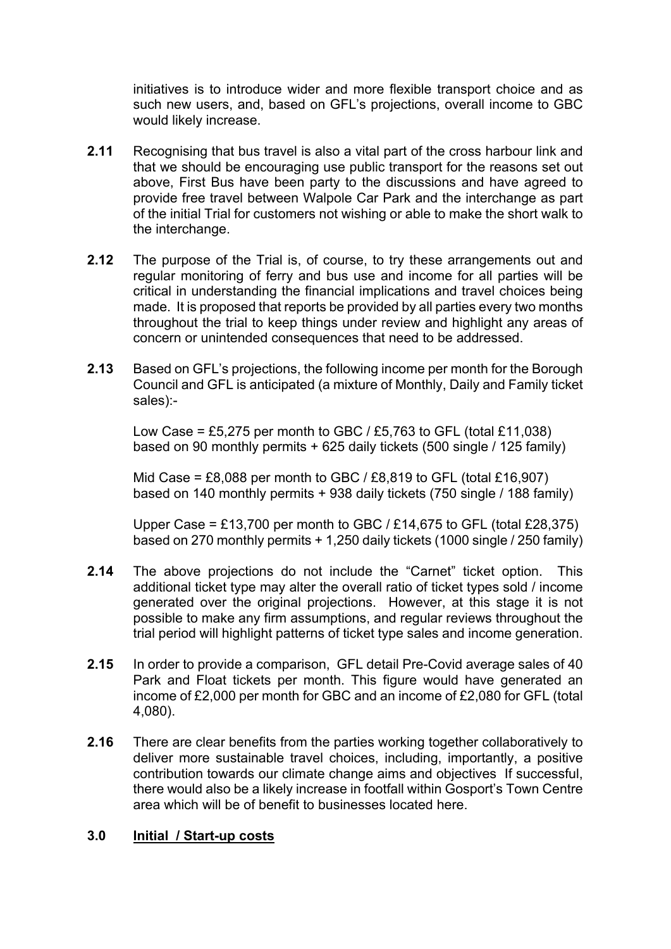initiatives is to introduce wider and more flexible transport choice and as such new users, and, based on GFL's projections, overall income to GBC would likely increase.

- **2.11** Recognising that bus travel is also a vital part of the cross harbour link and that we should be encouraging use public transport for the reasons set out above, First Bus have been party to the discussions and have agreed to provide free travel between Walpole Car Park and the interchange as part of the initial Trial for customers not wishing or able to make the short walk to the interchange.
- **2.12** The purpose of the Trial is, of course, to try these arrangements out and regular monitoring of ferry and bus use and income for all parties will be critical in understanding the financial implications and travel choices being made. It is proposed that reports be provided by all parties every two months throughout the trial to keep things under review and highlight any areas of concern or unintended consequences that need to be addressed.
- **2.13** Based on GFL's projections, the following income per month for the Borough Council and GFL is anticipated (a mixture of Monthly, Daily and Family ticket sales):-

Low Case = £5,275 per month to GBC / £5,763 to GFL (total £11,038) based on 90 monthly permits + 625 daily tickets (500 single / 125 family)

Mid Case =  $£8,088$  per month to GBC /  $£8,819$  to GFL (total £16,907) based on 140 monthly permits + 938 daily tickets (750 single / 188 family)

Upper Case = £13,700 per month to GBC / £14,675 to GFL (total £28.375) based on 270 monthly permits + 1,250 daily tickets (1000 single / 250 family)

- **2.14** The above projections do not include the "Carnet" ticket option. This additional ticket type may alter the overall ratio of ticket types sold / income generated over the original projections. However, at this stage it is not possible to make any firm assumptions, and regular reviews throughout the trial period will highlight patterns of ticket type sales and income generation.
- **2.15** In order to provide a comparison, GFL detail Pre-Covid average sales of 40 Park and Float tickets per month. This figure would have generated an income of £2,000 per month for GBC and an income of £2,080 for GFL (total 4,080).
- **2.16** There are clear benefits from the parties working together collaboratively to deliver more sustainable travel choices, including, importantly, a positive contribution towards our climate change aims and objectives If successful, there would also be a likely increase in footfall within Gosport's Town Centre area which will be of benefit to businesses located here.

#### **3.0 Initial / Start-up costs**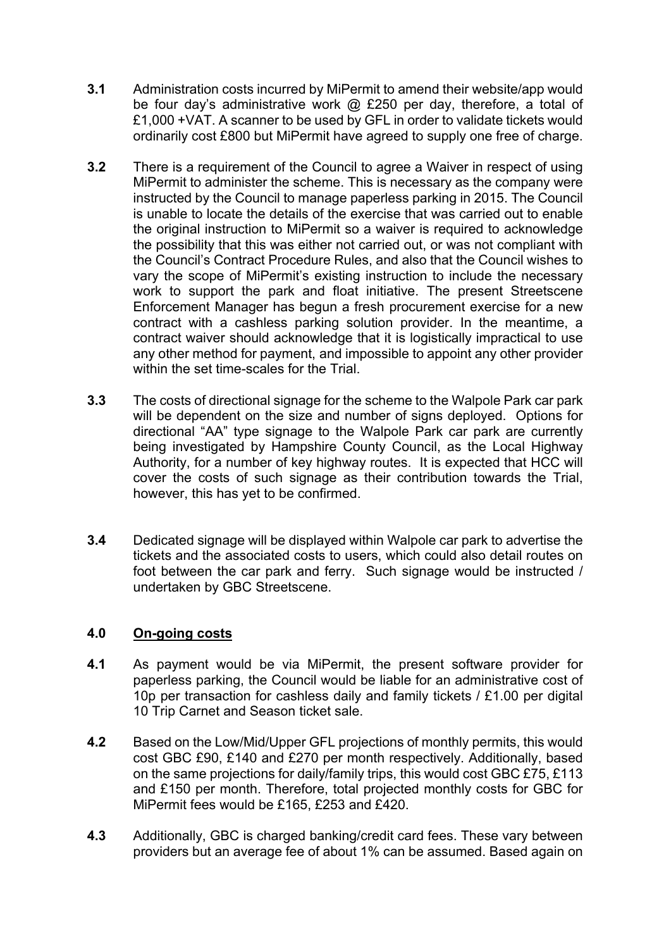- **3.1** Administration costs incurred by MiPermit to amend their website/app would be four day's administrative work @ £250 per day, therefore, a total of £1,000 +VAT. A scanner to be used by GFL in order to validate tickets would ordinarily cost £800 but MiPermit have agreed to supply one free of charge.
- **3.2** There is a requirement of the Council to agree a Waiver in respect of using MiPermit to administer the scheme. This is necessary as the company were instructed by the Council to manage paperless parking in 2015. The Council is unable to locate the details of the exercise that was carried out to enable the original instruction to MiPermit so a waiver is required to acknowledge the possibility that this was either not carried out, or was not compliant with the Council's Contract Procedure Rules, and also that the Council wishes to vary the scope of MiPermit's existing instruction to include the necessary work to support the park and float initiative. The present Streetscene Enforcement Manager has begun a fresh procurement exercise for a new contract with a cashless parking solution provider. In the meantime, a contract waiver should acknowledge that it is logistically impractical to use any other method for payment, and impossible to appoint any other provider within the set time-scales for the Trial.
- **3.3** The costs of directional signage for the scheme to the Walpole Park car park will be dependent on the size and number of signs deployed. Options for directional "AA" type signage to the Walpole Park car park are currently being investigated by Hampshire County Council, as the Local Highway Authority, for a number of key highway routes. It is expected that HCC will cover the costs of such signage as their contribution towards the Trial, however, this has yet to be confirmed.
- **3.4** Dedicated signage will be displayed within Walpole car park to advertise the tickets and the associated costs to users, which could also detail routes on foot between the car park and ferry. Such signage would be instructed / undertaken by GBC Streetscene.

#### **4.0 On-going costs**

- **4.1** As payment would be via MiPermit, the present software provider for paperless parking, the Council would be liable for an administrative cost of 10p per transaction for cashless daily and family tickets / £1.00 per digital 10 Trip Carnet and Season ticket sale.
- **4.2** Based on the Low/Mid/Upper GFL projections of monthly permits, this would cost GBC £90, £140 and £270 per month respectively. Additionally, based on the same projections for daily/family trips, this would cost GBC £75, £113 and £150 per month. Therefore, total projected monthly costs for GBC for MiPermit fees would be £165, £253 and £420.
- **4.3** Additionally, GBC is charged banking/credit card fees. These vary between providers but an average fee of about 1% can be assumed. Based again on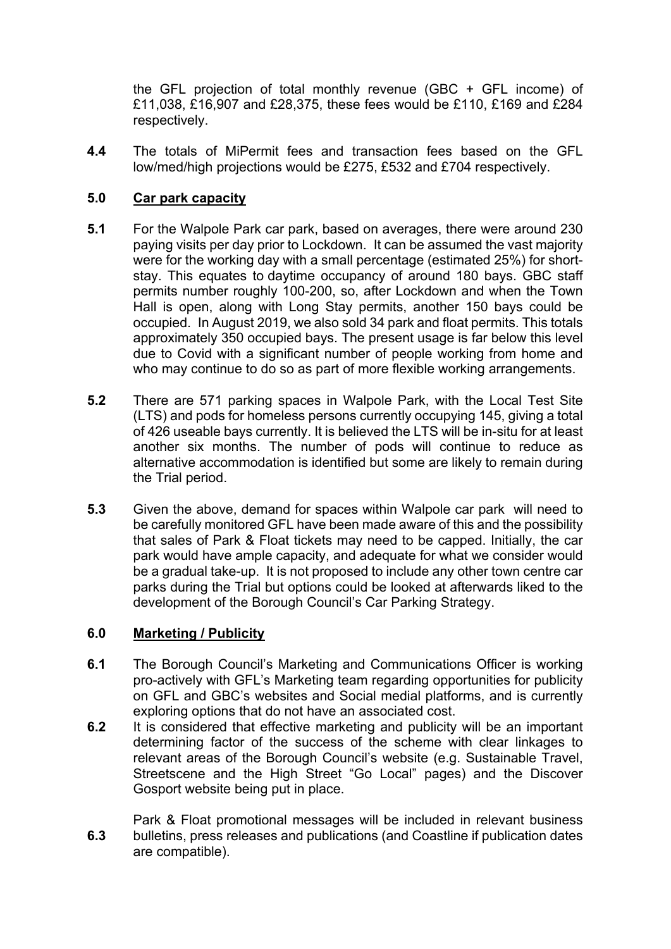the GFL projection of total monthly revenue (GBC + GFL income) of £11,038, £16,907 and £28,375, these fees would be £110, £169 and £284 respectively.

**4.4** The totals of MiPermit fees and transaction fees based on the GFL low/med/high projections would be £275, £532 and £704 respectively.

### **5.0 Car park capacity**

- **5.1** For the Walpole Park car park, based on averages, there were around 230 paying visits per day prior to Lockdown. It can be assumed the vast majority were for the working day with a small percentage (estimated 25%) for shortstay. This equates to daytime occupancy of around 180 bays. GBC staff permits number roughly 100-200, so, after Lockdown and when the Town Hall is open, along with Long Stay permits, another 150 bays could be occupied. In August 2019, we also sold 34 park and float permits. This totals approximately 350 occupied bays. The present usage is far below this level due to Covid with a significant number of people working from home and who may continue to do so as part of more flexible working arrangements.
- **5.2** There are 571 parking spaces in Walpole Park, with the Local Test Site (LTS) and pods for homeless persons currently occupying 145, giving a total of 426 useable bays currently. It is believed the LTS will be in-situ for at least another six months. The number of pods will continue to reduce as alternative accommodation is identified but some are likely to remain during the Trial period.
- **5.3** Given the above, demand for spaces within Walpole car park will need to be carefully monitored GFL have been made aware of this and the possibility that sales of Park & Float tickets may need to be capped. Initially, the car park would have ample capacity, and adequate for what we consider would be a gradual take-up. It is not proposed to include any other town centre car parks during the Trial but options could be looked at afterwards liked to the development of the Borough Council's Car Parking Strategy.

#### **6.0 Marketing / Publicity**

- **6.1** The Borough Council's Marketing and Communications Officer is working pro-actively with GFL's Marketing team regarding opportunities for publicity on GFL and GBC's websites and Social medial platforms, and is currently exploring options that do not have an associated cost.
- **6.2** It is considered that effective marketing and publicity will be an important determining factor of the success of the scheme with clear linkages to relevant areas of the Borough Council's website (e.g. Sustainable Travel, Streetscene and the High Street "Go Local" pages) and the Discover Gosport website being put in place.
- **6.3** Park & Float promotional messages will be included in relevant business bulletins, press releases and publications (and Coastline if publication dates are compatible).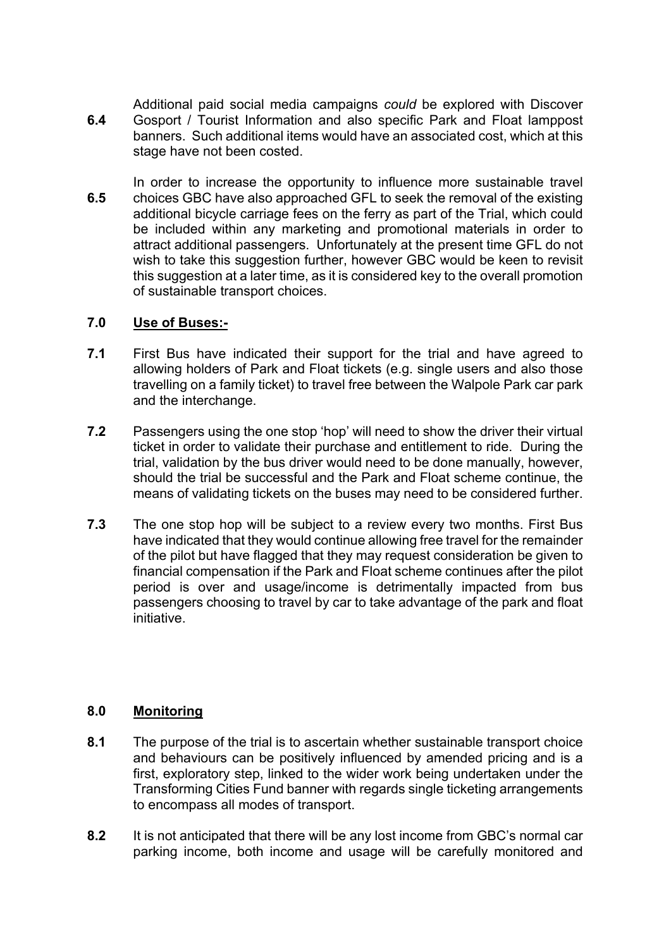**6.4** Additional paid social media campaigns *could* be explored with Discover Gosport / Tourist Information and also specific Park and Float lamppost banners. Such additional items would have an associated cost, which at this stage have not been costed.

**6.5** In order to increase the opportunity to influence more sustainable travel choices GBC have also approached GFL to seek the removal of the existing additional bicycle carriage fees on the ferry as part of the Trial, which could be included within any marketing and promotional materials in order to attract additional passengers. Unfortunately at the present time GFL do not wish to take this suggestion further, however GBC would be keen to revisit this suggestion at a later time, as it is considered key to the overall promotion of sustainable transport choices.

### **7.0 Use of Buses:-**

- **7.1** First Bus have indicated their support for the trial and have agreed to allowing holders of Park and Float tickets (e.g. single users and also those travelling on a family ticket) to travel free between the Walpole Park car park and the interchange.
- **7.2** Passengers using the one stop 'hop' will need to show the driver their virtual ticket in order to validate their purchase and entitlement to ride. During the trial, validation by the bus driver would need to be done manually, however, should the trial be successful and the Park and Float scheme continue, the means of validating tickets on the buses may need to be considered further.
- **7.3** The one stop hop will be subject to a review every two months. First Bus have indicated that they would continue allowing free travel for the remainder of the pilot but have flagged that they may request consideration be given to financial compensation if the Park and Float scheme continues after the pilot period is over and usage/income is detrimentally impacted from bus passengers choosing to travel by car to take advantage of the park and float initiative.

# **8.0 Monitoring**

- **8.1** The purpose of the trial is to ascertain whether sustainable transport choice and behaviours can be positively influenced by amended pricing and is a first, exploratory step, linked to the wider work being undertaken under the Transforming Cities Fund banner with regards single ticketing arrangements to encompass all modes of transport.
- **8.2** It is not anticipated that there will be any lost income from GBC's normal car parking income, both income and usage will be carefully monitored and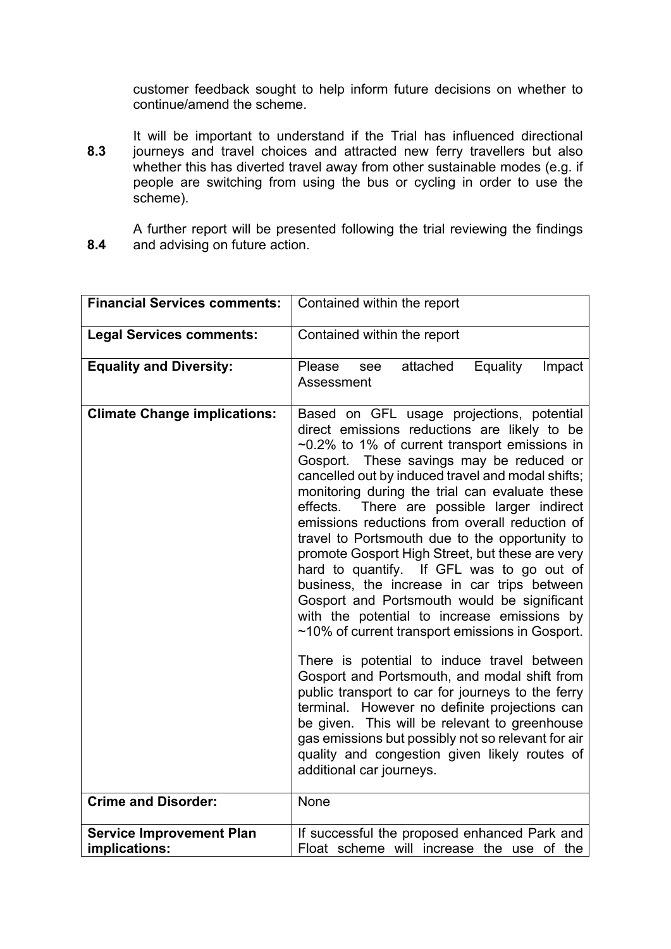customer feedback sought to help inform future decisions on whether to continue/amend the scheme.

**8.3** It will be important to understand if the Trial has influenced directional journeys and travel choices and attracted new ferry travellers but also whether this has diverted travel away from other sustainable modes (e.g. if people are switching from using the bus or cycling in order to use the scheme).

**8.4** A further report will be presented following the trial reviewing the findings and advising on future action.

| <b>Financial Services comments:</b> | Contained within the report                                                                                                                                                                                                                                                                                                                                                                                                                                                                                                                                                                                                                                                                                                                                                                                                                                                                                                                                                                                                                                                                                                                        |
|-------------------------------------|----------------------------------------------------------------------------------------------------------------------------------------------------------------------------------------------------------------------------------------------------------------------------------------------------------------------------------------------------------------------------------------------------------------------------------------------------------------------------------------------------------------------------------------------------------------------------------------------------------------------------------------------------------------------------------------------------------------------------------------------------------------------------------------------------------------------------------------------------------------------------------------------------------------------------------------------------------------------------------------------------------------------------------------------------------------------------------------------------------------------------------------------------|
| <b>Legal Services comments:</b>     | Contained within the report                                                                                                                                                                                                                                                                                                                                                                                                                                                                                                                                                                                                                                                                                                                                                                                                                                                                                                                                                                                                                                                                                                                        |
| <b>Equality and Diversity:</b>      | Please<br>attached<br>Equality<br>see<br>Impact<br>Assessment                                                                                                                                                                                                                                                                                                                                                                                                                                                                                                                                                                                                                                                                                                                                                                                                                                                                                                                                                                                                                                                                                      |
| <b>Climate Change implications:</b> | Based on GFL usage projections, potential<br>direct emissions reductions are likely to be<br>$\sim$ 0.2% to 1% of current transport emissions in<br>Gosport. These savings may be reduced or<br>cancelled out by induced travel and modal shifts;<br>monitoring during the trial can evaluate these<br>There are possible larger indirect<br>effects.<br>emissions reductions from overall reduction of<br>travel to Portsmouth due to the opportunity to<br>promote Gosport High Street, but these are very<br>hard to quantify. If GFL was to go out of<br>business, the increase in car trips between<br>Gosport and Portsmouth would be significant<br>with the potential to increase emissions by<br>~10% of current transport emissions in Gosport.<br>There is potential to induce travel between<br>Gosport and Portsmouth, and modal shift from<br>public transport to car for journeys to the ferry<br>terminal. However no definite projections can<br>be given. This will be relevant to greenhouse<br>gas emissions but possibly not so relevant for air<br>quality and congestion given likely routes of<br>additional car journeys. |
| <b>Crime and Disorder:</b>          | None                                                                                                                                                                                                                                                                                                                                                                                                                                                                                                                                                                                                                                                                                                                                                                                                                                                                                                                                                                                                                                                                                                                                               |
| <b>Service Improvement Plan</b>     | If successful the proposed enhanced Park and                                                                                                                                                                                                                                                                                                                                                                                                                                                                                                                                                                                                                                                                                                                                                                                                                                                                                                                                                                                                                                                                                                       |
| implications:                       | Float scheme will increase the use of the                                                                                                                                                                                                                                                                                                                                                                                                                                                                                                                                                                                                                                                                                                                                                                                                                                                                                                                                                                                                                                                                                                          |